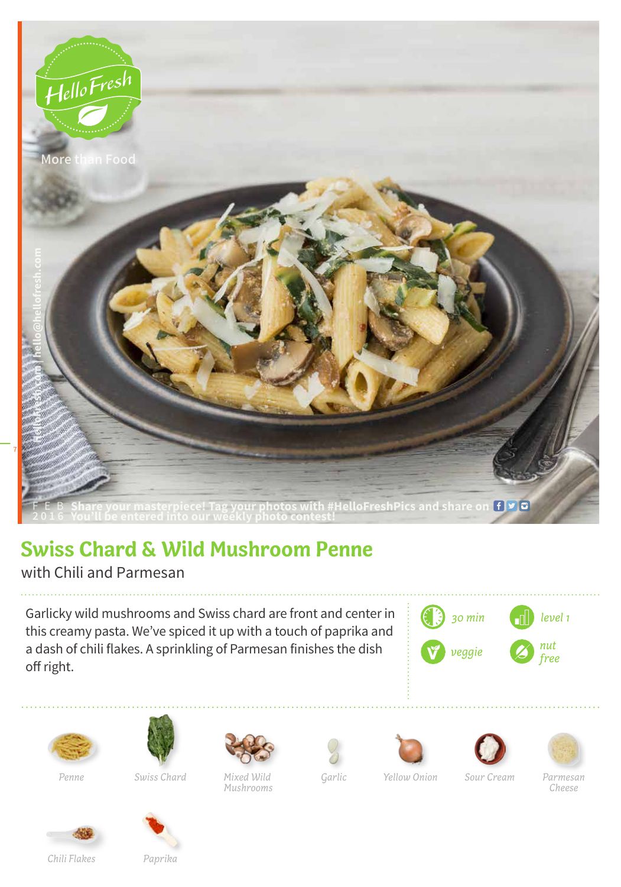

## **Swiss Chard & Wild Mushroom Penne**

with Chili and Parmesan

Garlicky wild mushrooms and Swiss chard are front and center in this creamy pasta. We've spiced it up with a touch of paprika and a dash of chili flakes. A sprinkling of Parmesan finishes the dish off right.





*Penne*



*Swiss Chard*



*Mixed Wild Mushrooms*







*Cheese*

*Yellow Onion Sour Cream Parmesan* 



*Chili Flakes*

*Paprika*